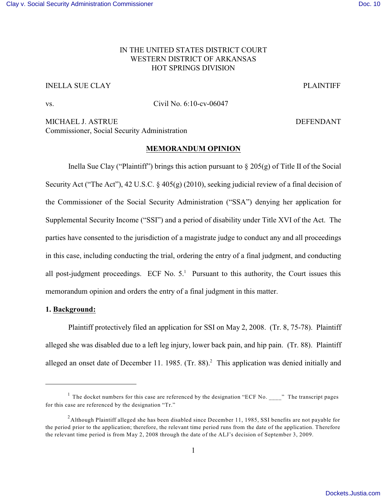# IN THE UNITED STATES DISTRICT COURT WESTERN DISTRICT OF ARKANSAS HOT SPRINGS DIVISION

# INELLA SUE CLAY PLAINTIFF

vs. Civil No. 6:10-cv-06047

MICHAEL J. ASTRUE **DEFENDANT** Commissioner, Social Security Administration

## **MEMORANDUM OPINION**

Inella Sue Clay ("Plaintiff") brings this action pursuant to  $\S 205(g)$  of Title II of the Social Security Act ("The Act"), 42 U.S.C. § 405(g) (2010), seeking judicial review of a final decision of the Commissioner of the Social Security Administration ("SSA") denying her application for Supplemental Security Income ("SSI") and a period of disability under Title XVI of the Act. The parties have consented to the jurisdiction of a magistrate judge to conduct any and all proceedings in this case, including conducting the trial, ordering the entry of a final judgment, and conducting all post-judgment proceedings. ECF No.  $5<sup>1</sup>$  Pursuant to this authority, the Court issues this memorandum opinion and orders the entry of a final judgment in this matter.

## **1. Background:**

Plaintiff protectively filed an application for SSI on May 2, 2008. (Tr. 8, 75-78). Plaintiff alleged she was disabled due to a left leg injury, lower back pain, and hip pain. (Tr. 88). Plaintiff alleged an onset date of December 11. 1985. (Tr. 88).<sup>2</sup> This application was denied initially and

<sup>&</sup>lt;sup>1</sup> The docket numbers for this case are referenced by the designation "ECF No. \_\_\_\_" The transcript pages for this case are referenced by the designation "Tr."

 $^2$ Although Plaintiff alleged she has been disabled since December 11, 1985, SSI benefits are not payable for the period prior to the application; therefore, the relevant time period runs from the date of the application. Therefore the relevant time period is from May 2, 2008 through the date of the ALJ's decision of September 3, 2009.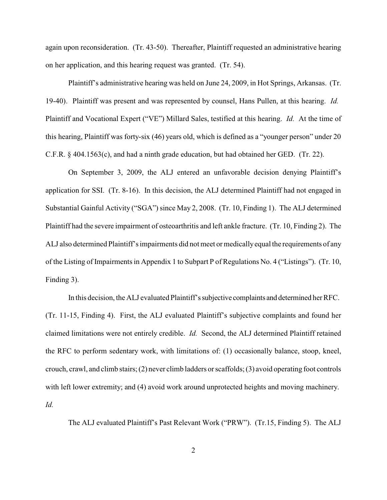again upon reconsideration. (Tr. 43-50). Thereafter, Plaintiff requested an administrative hearing on her application, and this hearing request was granted. (Tr. 54).

Plaintiff's administrative hearing was held on June 24, 2009, in Hot Springs, Arkansas. (Tr. 19-40). Plaintiff was present and was represented by counsel, Hans Pullen, at this hearing. *Id.*  Plaintiff and Vocational Expert ("VE") Millard Sales, testified at this hearing. *Id.* At the time of this hearing, Plaintiff was forty-six (46) years old, which is defined as a "younger person" under 20 C.F.R. § 404.1563(c), and had a ninth grade education, but had obtained her GED. (Tr. 22).

On September 3, 2009, the ALJ entered an unfavorable decision denying Plaintiff's application for SSI. (Tr. 8-16). In this decision, the ALJ determined Plaintiff had not engaged in Substantial Gainful Activity ("SGA") since May 2, 2008. (Tr. 10, Finding 1). The ALJ determined Plaintiff had the severe impairment of osteoarthritis and left ankle fracture. (Tr. 10, Finding 2). The ALJ also determined Plaintiff's impairments did not meet or medicallyequal the requirements of any of the Listing of Impairments in Appendix 1 to Subpart P of Regulations No. 4 ("Listings"). (Tr. 10, Finding 3).

In this decision, the ALJ evaluated Plaintiff's subjective complaints and determined her RFC. (Tr. 11-15, Finding 4). First, the ALJ evaluated Plaintiff's subjective complaints and found her claimed limitations were not entirely credible. *Id.* Second, the ALJ determined Plaintiff retained the RFC to perform sedentary work, with limitations of: (1) occasionally balance, stoop, kneel, crouch, crawl, and climb stairs; (2) never climb ladders or scaffolds; (3) avoid operating foot controls with left lower extremity; and (4) avoid work around unprotected heights and moving machinery. *Id.*

The ALJ evaluated Plaintiff's Past Relevant Work ("PRW"). (Tr.15, Finding 5). The ALJ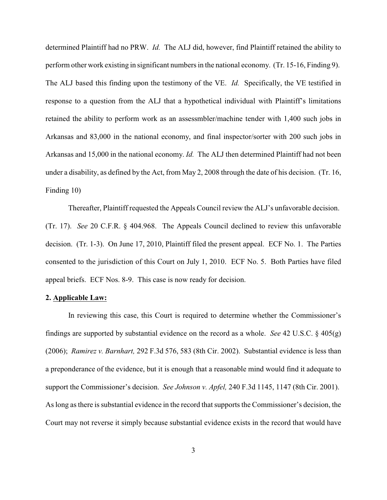determined Plaintiff had no PRW. *Id.* The ALJ did, however, find Plaintiff retained the ability to perform other work existing in significant numbers in the national economy. (Tr. 15-16, Finding 9). The ALJ based this finding upon the testimony of the VE. *Id.* Specifically, the VE testified in response to a question from the ALJ that a hypothetical individual with Plaintiff's limitations retained the ability to perform work as an assessmbler/machine tender with 1,400 such jobs in Arkansas and 83,000 in the national economy, and final inspector/sorter with 200 such jobs in Arkansas and 15,000 in the national economy. *Id.* The ALJ then determined Plaintiff had not been under a disability, as defined by the Act, from May 2, 2008 through the date of his decision. (Tr. 16, Finding 10)

Thereafter, Plaintiff requested the Appeals Council review the ALJ's unfavorable decision. (Tr. 17). *See* 20 C.F.R. § 404.968. The Appeals Council declined to review this unfavorable decision. (Tr. 1-3). On June 17, 2010, Plaintiff filed the present appeal. ECF No. 1. The Parties consented to the jurisdiction of this Court on July 1, 2010. ECF No. 5. Both Parties have filed appeal briefs. ECF Nos. 8-9. This case is now ready for decision.

### **2. Applicable Law:**

In reviewing this case, this Court is required to determine whether the Commissioner's findings are supported by substantial evidence on the record as a whole. *See* 42 U.S.C. § 405(g) (2006); *Ramirez v. Barnhart,* 292 F.3d 576, 583 (8th Cir. 2002). Substantial evidence is less than a preponderance of the evidence, but it is enough that a reasonable mind would find it adequate to support the Commissioner's decision. *See Johnson v. Apfel,* 240 F.3d 1145, 1147 (8th Cir. 2001). As long as there is substantial evidence in the record that supports the Commissioner's decision, the Court may not reverse it simply because substantial evidence exists in the record that would have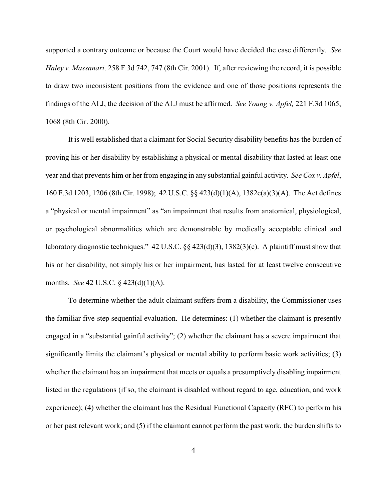supported a contrary outcome or because the Court would have decided the case differently. *See Haley v. Massanari,* 258 F.3d 742, 747 (8th Cir. 2001). If, after reviewing the record, it is possible to draw two inconsistent positions from the evidence and one of those positions represents the findings of the ALJ, the decision of the ALJ must be affirmed. *See Young v. Apfel,* 221 F.3d 1065, 1068 (8th Cir. 2000).

It is well established that a claimant for Social Security disability benefits has the burden of proving his or her disability by establishing a physical or mental disability that lasted at least one year and that prevents him or her from engaging in any substantial gainful activity. *See Cox v. Apfel*, 160 F.3d 1203, 1206 (8th Cir. 1998); 42 U.S.C. §§ 423(d)(1)(A), 1382c(a)(3)(A). The Act defines a "physical or mental impairment" as "an impairment that results from anatomical, physiological, or psychological abnormalities which are demonstrable by medically acceptable clinical and laboratory diagnostic techniques." 42 U.S.C. §§ 423(d)(3), 1382(3)(c). A plaintiff must show that his or her disability, not simply his or her impairment, has lasted for at least twelve consecutive months. *See* 42 U.S.C. § 423(d)(1)(A).

To determine whether the adult claimant suffers from a disability, the Commissioner uses the familiar five-step sequential evaluation. He determines: (1) whether the claimant is presently engaged in a "substantial gainful activity"; (2) whether the claimant has a severe impairment that significantly limits the claimant's physical or mental ability to perform basic work activities; (3) whether the claimant has an impairment that meets or equals a presumptively disabling impairment listed in the regulations (if so, the claimant is disabled without regard to age, education, and work experience); (4) whether the claimant has the Residual Functional Capacity (RFC) to perform his or her past relevant work; and (5) if the claimant cannot perform the past work, the burden shifts to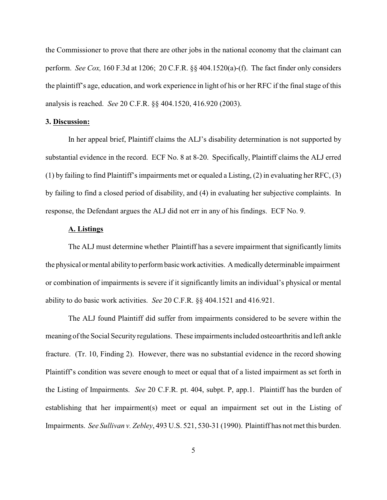the Commissioner to prove that there are other jobs in the national economy that the claimant can perform. *See Cox,* 160 F.3d at 1206; 20 C.F.R. §§ 404.1520(a)-(f). The fact finder only considers the plaintiff's age, education, and work experience in light of his or her RFC if the final stage of this analysis is reached. *See* 20 C.F.R. §§ 404.1520, 416.920 (2003).

### **3. Discussion:**

In her appeal brief, Plaintiff claims the ALJ's disability determination is not supported by substantial evidence in the record. ECF No. 8 at 8-20. Specifically, Plaintiff claims the ALJ erred (1) by failing to find Plaintiff's impairments met or equaled a Listing, (2) in evaluating her RFC, (3) by failing to find a closed period of disability, and (4) in evaluating her subjective complaints. In response, the Defendant argues the ALJ did not err in any of his findings. ECF No. 9.

## **A. Listings**

The ALJ must determine whether Plaintiff has a severe impairment that significantly limits the physical or mental abilityto perform basicwork activities. Amedicallydeterminable impairment or combination of impairments is severe if it significantly limits an individual's physical or mental ability to do basic work activities. *See* 20 C.F.R. §§ 404.1521 and 416.921.

The ALJ found Plaintiff did suffer from impairments considered to be severe within the meaning of the Social Security regulations. These impairments included osteoarthritis and left ankle fracture. (Tr. 10, Finding 2). However, there was no substantial evidence in the record showing Plaintiff's condition was severe enough to meet or equal that of a listed impairment as set forth in the Listing of Impairments. *See* 20 C.F.R. pt. 404, subpt. P, app.1. Plaintiff has the burden of establishing that her impairment(s) meet or equal an impairment set out in the Listing of Impairments. *See Sullivan v. Zebley*, 493 U.S. 521, 530-31 (1990). Plaintiff has not met this burden.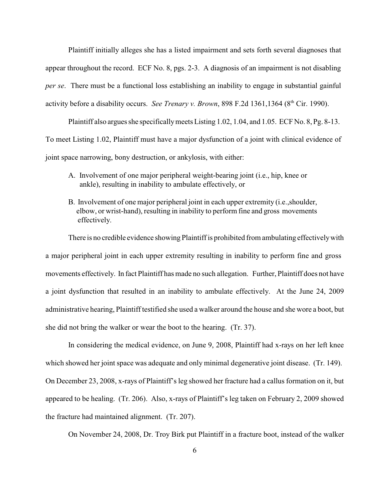Plaintiff initially alleges she has a listed impairment and sets forth several diagnoses that appear throughout the record. ECF No. 8, pgs. 2-3. A diagnosis of an impairment is not disabling *per se*. There must be a functional loss establishing an inability to engage in substantial gainful activity before a disability occurs. *See Trenary v. Brown*, 898 F.2d 1361,1364 (8<sup>th</sup> Cir. 1990).

Plaintiff also argues she specificallymeets Listing 1.02, 1.04, and 1.05. ECF No. 8, Pg. 8-13. To meet Listing 1.02, Plaintiff must have a major dysfunction of a joint with clinical evidence of joint space narrowing, bony destruction, or ankylosis, with either:

- A. Involvement of one major peripheral weight-bearing joint (i.e., hip, knee or ankle), resulting in inability to ambulate effectively, or
- B. Involvement of one major peripheral joint in each upper extremity (i.e.,shoulder, elbow, or wrist-hand), resulting in inability to perform fine and gross movements effectively.

There is no credible evidence showing Plaintiff is prohibited from ambulating effectivelywith a major peripheral joint in each upper extremity resulting in inability to perform fine and gross movements effectively. In fact Plaintiff has made no such allegation. Further, Plaintiff does not have a joint dysfunction that resulted in an inability to ambulate effectively. At the June 24, 2009 administrative hearing, Plaintiff testified she used a walker around the house and she wore a boot, but she did not bring the walker or wear the boot to the hearing. (Tr. 37).

In considering the medical evidence, on June 9, 2008, Plaintiff had x-rays on her left knee which showed her joint space was adequate and only minimal degenerative joint disease. (Tr. 149). On December 23, 2008, x-rays of Plaintiff's leg showed her fracture had a callus formation on it, but appeared to be healing. (Tr. 206). Also, x-rays of Plaintiff's leg taken on February 2, 2009 showed the fracture had maintained alignment. (Tr. 207).

On November 24, 2008, Dr. Troy Birk put Plaintiff in a fracture boot, instead of the walker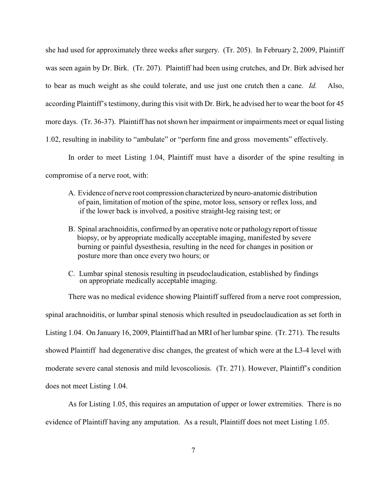she had used for approximately three weeks after surgery. (Tr. 205). In February 2, 2009, Plaintiff was seen again by Dr. Birk. (Tr. 207). Plaintiff had been using crutches, and Dr. Birk advised her to bear as much weight as she could tolerate, and use just one crutch then a cane. *Id.* Also, according Plaintiff's testimony, during this visit with Dr. Birk, he advised her to wear the boot for 45 more days. (Tr. 36-37). Plaintiff has not shown her impairment or impairments meet or equal listing 1.02, resulting in inability to "ambulate" or "perform fine and gross movements" effectively.

In order to meet Listing 1.04, Plaintiff must have a disorder of the spine resulting in compromise of a nerve root, with:

- A. Evidence of nerve root compression characterized byneuro-anatomic distribution of pain, limitation of motion of the spine, motor loss, sensory or reflex loss, and if the lower back is involved, a positive straight-leg raising test; or
- B. Spinal arachnoiditis, confirmed by an operative note or pathology report of tissue biopsy, or by appropriate medically acceptable imaging, manifested by severe burning or painful dysesthesia, resulting in the need for changes in position or posture more than once every two hours; or
- C. Lumbar spinal stenosis resulting in pseudoclaudication, established by findings on appropriate medically acceptable imaging.

There was no medical evidence showing Plaintiff suffered from a nerve root compression, spinal arachnoiditis, or lumbar spinal stenosis which resulted in pseudoclaudication as set forth in Listing 1.04. On January 16, 2009, Plaintiff had an MRI of her lumbar spine. (Tr. 271). The results showed Plaintiff had degenerative disc changes, the greatest of which were at the L3-4 level with moderate severe canal stenosis and mild levoscoliosis. (Tr. 271). However, Plaintiff's condition does not meet Listing 1.04.

As for Listing 1.05, this requires an amputation of upper or lower extremities. There is no evidence of Plaintiff having any amputation. As a result, Plaintiff does not meet Listing 1.05.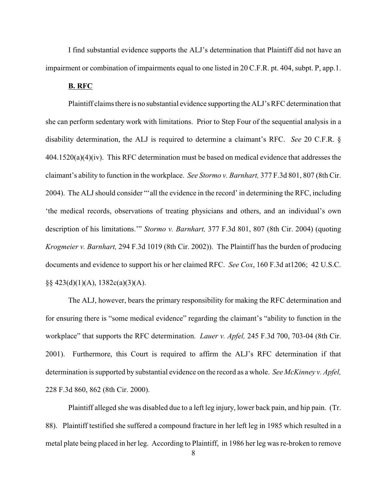I find substantial evidence supports the ALJ's determination that Plaintiff did not have an impairment or combination of impairments equal to one listed in 20 C.F.R. pt. 404, subpt. P, app.1.

#### **B. RFC**

Plaintiff claims there is no substantial evidence supporting the ALJ's RFC determination that she can perform sedentary work with limitations. Prior to Step Four of the sequential analysis in a disability determination, the ALJ is required to determine a claimant's RFC. *See* 20 C.F.R. § 404.1520(a)(4)(iv). This RFC determination must be based on medical evidence that addresses the claimant's ability to function in the workplace. *See Stormo v. Barnhart,* 377 F.3d 801, 807 (8th Cir. 2004). The ALJshould consider "'all the evidence in the record' in determining the RFC, including 'the medical records, observations of treating physicians and others, and an individual's own description of his limitations.'" *Stormo v. Barnhart,* 377 F.3d 801, 807 (8th Cir. 2004) (quoting *Krogmeier v. Barnhart,* 294 F.3d 1019 (8th Cir. 2002)). The Plaintiff has the burden of producing documents and evidence to support his or her claimed RFC. *See Cox*, 160 F.3d at1206; 42 U.S.C.  $\S$ § 423(d)(1)(A), 1382c(a)(3)(A).

The ALJ, however, bears the primary responsibility for making the RFC determination and for ensuring there is "some medical evidence" regarding the claimant's "ability to function in the workplace" that supports the RFC determination. *Lauer v. Apfel,* 245 F.3d 700, 703-04 (8th Cir. 2001). Furthermore, this Court is required to affirm the ALJ's RFC determination if that determination is supported by substantial evidence on the record as a whole. *See McKinney v. Apfel,* 228 F.3d 860, 862 (8th Cir. 2000).

Plaintiff alleged she was disabled due to a left leg injury, lower back pain, and hip pain. (Tr. 88). Plaintiff testified she suffered a compound fracture in her left leg in 1985 which resulted in a metal plate being placed in her leg. According to Plaintiff, in 1986 her leg was re-broken to remove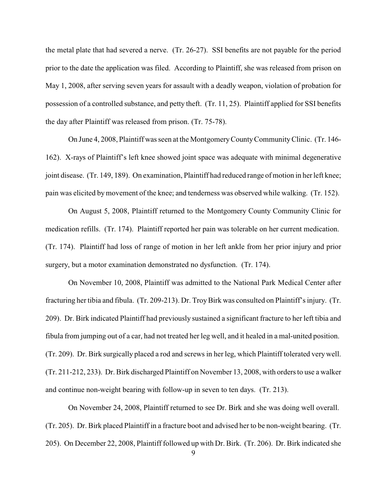the metal plate that had severed a nerve. (Tr. 26-27). SSI benefits are not payable for the period prior to the date the application was filed. According to Plaintiff, she was released from prison on May 1, 2008, after serving seven years for assault with a deadly weapon, violation of probation for possession of a controlled substance, and petty theft. (Tr. 11, 25). Plaintiff applied for SSI benefits the day after Plaintiff was released from prison. (Tr. 75-78).

On June 4, 2008, Plaintiff was seen at the MontgomeryCountyCommunityClinic. (Tr. 146- 162). X-rays of Plaintiff's left knee showed joint space was adequate with minimal degenerative joint disease. (Tr. 149, 189). On examination, Plaintiff had reduced range of motion in her left knee; pain was elicited by movement of the knee; and tenderness was observed while walking. (Tr. 152).

On August 5, 2008, Plaintiff returned to the Montgomery County Community Clinic for medication refills. (Tr. 174). Plaintiff reported her pain was tolerable on her current medication. (Tr. 174). Plaintiff had loss of range of motion in her left ankle from her prior injury and prior surgery, but a motor examination demonstrated no dysfunction. (Tr. 174).

On November 10, 2008, Plaintiff was admitted to the National Park Medical Center after fracturing her tibia and fibula. (Tr. 209-213). Dr. TroyBirk was consulted on Plaintiff's injury. (Tr. 209). Dr. Birk indicated Plaintiff had previously sustained a significant fracture to her left tibia and fibula from jumping out of a car, had not treated her leg well, and it healed in a mal-united position. (Tr. 209). Dr. Birk surgically placed a rod and screws in her leg, which Plaintiff tolerated very well. (Tr. 211-212, 233). Dr. Birk discharged Plaintiff on November 13, 2008, with orders to use a walker and continue non-weight bearing with follow-up in seven to ten days. (Tr. 213).

On November 24, 2008, Plaintiff returned to see Dr. Birk and she was doing well overall. (Tr. 205). Dr. Birk placed Plaintiff in a fracture boot and advised her to be non-weight bearing. (Tr. 205). On December 22, 2008, Plaintiff followed up with Dr. Birk. (Tr. 206). Dr. Birk indicated she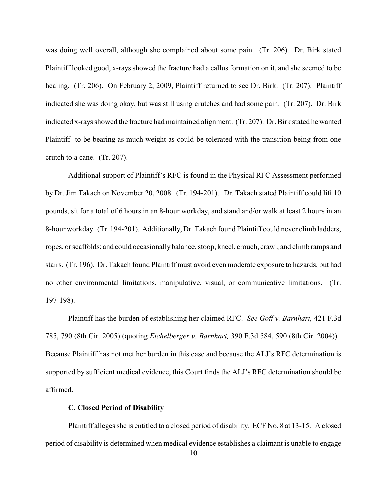was doing well overall, although she complained about some pain. (Tr. 206). Dr. Birk stated Plaintiff looked good, x-rays showed the fracture had a callus formation on it, and she seemed to be healing. (Tr. 206). On February 2, 2009, Plaintiff returned to see Dr. Birk. (Tr. 207). Plaintiff indicated she was doing okay, but was still using crutches and had some pain. (Tr. 207). Dr. Birk indicated x-rays showed the fracture had maintained alignment. (Tr. 207). Dr. Birk stated he wanted Plaintiff to be bearing as much weight as could be tolerated with the transition being from one crutch to a cane. (Tr. 207).

Additional support of Plaintiff's RFC is found in the Physical RFC Assessment performed by Dr. Jim Takach on November 20, 2008. (Tr. 194-201). Dr. Takach stated Plaintiff could lift 10 pounds, sit for a total of 6 hours in an 8-hour workday, and stand and/or walk at least 2 hours in an 8-hour workday. (Tr. 194-201). Additionally, Dr. Takach found Plaintiff could never climb ladders, ropes, or scaffolds; and could occasionallybalance, stoop, kneel, crouch, crawl, and climb ramps and stairs. (Tr. 196). Dr. Takach found Plaintiff must avoid even moderate exposure to hazards, but had no other environmental limitations, manipulative, visual, or communicative limitations. (Tr. 197-198).

Plaintiff has the burden of establishing her claimed RFC. *See Goff v. Barnhart,* 421 F.3d 785, 790 (8th Cir. 2005) (quoting *Eichelberger v. Barnhart,* 390 F.3d 584, 590 (8th Cir. 2004)). Because Plaintiff has not met her burden in this case and because the ALJ's RFC determination is supported by sufficient medical evidence, this Court finds the ALJ's RFC determination should be affirmed.

#### **C. Closed Period of Disability**

Plaintiff alleges she is entitled to a closed period of disability. ECF No. 8 at 13-15. A closed period of disability is determined when medical evidence establishes a claimant is unable to engage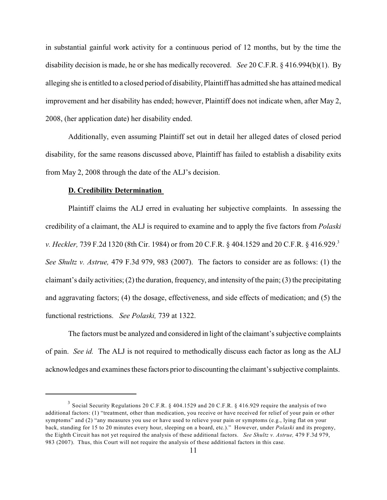in substantial gainful work activity for a continuous period of 12 months, but by the time the disability decision is made, he or she has medically recovered. *See* 20 C.F.R. § 416.994(b)(1). By alleging she is entitled to a closed period of disability, Plaintiff has admitted she has attained medical improvement and her disability has ended; however, Plaintiff does not indicate when, after May 2, 2008, (her application date) her disability ended.

Additionally, even assuming Plaintiff set out in detail her alleged dates of closed period disability, for the same reasons discussed above, Plaintiff has failed to establish a disability exits from May 2, 2008 through the date of the ALJ's decision.

#### **D. Credibility Determination**

Plaintiff claims the ALJ erred in evaluating her subjective complaints. In assessing the credibility of a claimant, the ALJ is required to examine and to apply the five factors from *Polaski v. Heckler, 739 F.2d 1320 (8th Cir. 1984) or from 20 C.F.R. § 404.1529 and 20 C.F.R. § 416.929.*<sup>3</sup> *See Shultz v. Astrue,* 479 F.3d 979, 983 (2007). The factors to consider are as follows: (1) the claimant's daily activities; (2) the duration, frequency, and intensity of the pain; (3) the precipitating and aggravating factors; (4) the dosage, effectiveness, and side effects of medication; and (5) the functional restrictions. *See Polaski,* 739 at 1322.

The factors must be analyzed and considered in light of the claimant's subjective complaints of pain. *See id.* The ALJ is not required to methodically discuss each factor as long as the ALJ acknowledges and examines these factors prior to discounting the claimant's subjective complaints.

<sup>&</sup>lt;sup>3</sup> Social Security Regulations 20 C.F.R. § 404.1529 and 20 C.F.R. § 416.929 require the analysis of two additional factors: (1) "treatment, other than medication, you receive or have received for relief of your pain or other symptoms" and (2) "any measures you use or have used to relieve your pain or symptoms (e.g., lying flat on your back, standing for 15 to 20 minutes every hour, sleeping on a board, etc.)." However, under *Polaski* and its progeny, the Eighth Circuit has not yet required the analysis of these additional factors. *See Shultz v. Astrue,* 479 F.3d 979, 983 (2007). Thus, this Court will not require the analysis of these additional factors in this case.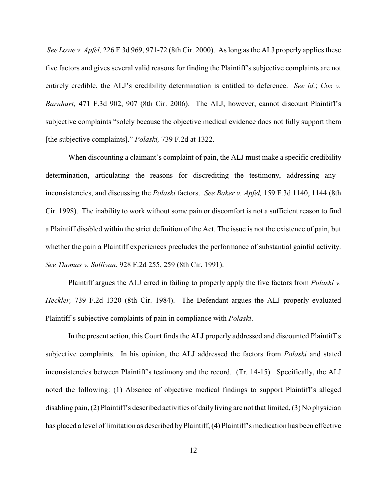*See Lowe v. Apfel,* 226 F.3d 969, 971-72 (8th Cir. 2000). As long as the ALJ properly applies these five factors and gives several valid reasons for finding the Plaintiff's subjective complaints are not entirely credible, the ALJ's credibility determination is entitled to deference. *See id.*; *Cox v. Barnhart,* 471 F.3d 902, 907 (8th Cir. 2006). The ALJ, however, cannot discount Plaintiff's subjective complaints "solely because the objective medical evidence does not fully support them [the subjective complaints]." *Polaski,* 739 F.2d at 1322.

When discounting a claimant's complaint of pain, the ALJ must make a specific credibility determination, articulating the reasons for discrediting the testimony, addressing any inconsistencies, and discussing the *Polaski* factors. *See Baker v. Apfel,* 159 F.3d 1140, 1144 (8th Cir. 1998). The inability to work without some pain or discomfort is not a sufficient reason to find a Plaintiff disabled within the strict definition of the Act. The issue is not the existence of pain, but whether the pain a Plaintiff experiences precludes the performance of substantial gainful activity. *See Thomas v. Sullivan*, 928 F.2d 255, 259 (8th Cir. 1991).

Plaintiff argues the ALJ erred in failing to properly apply the five factors from *Polaski v. Heckler,* 739 F.2d 1320 (8th Cir. 1984). The Defendant argues the ALJ properly evaluated Plaintiff's subjective complaints of pain in compliance with *Polaski*.

In the present action, this Court finds the ALJ properly addressed and discounted Plaintiff's subjective complaints. In his opinion, the ALJ addressed the factors from *Polaski* and stated inconsistencies between Plaintiff's testimony and the record. (Tr. 14-15). Specifically, the ALJ noted the following: (1) Absence of objective medical findings to support Plaintiff's alleged disabling pain, (2) Plaintiff's described activities of dailyliving are not that limited, (3) No physician has placed a level of limitation as described byPlaintiff, (4) Plaintiff's medication has been effective